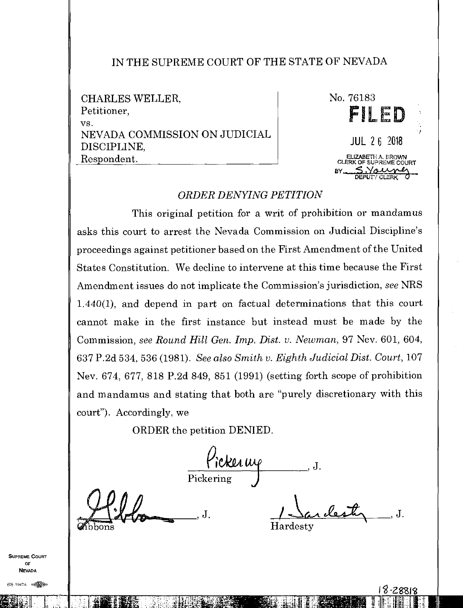## IN THE SUPREME COURT OF THE STATE OF NEVADA

CHARLES WELLER, Petitioner, VS. NEVADA COMMISSION ON JUDICIAL DISCIPLINE, Respondent.



## *ORDER DENYING PETITION*

This original petition for a writ of prohibition or mandamus asks this court to arrest the Nevada Commission on Judicial Discipline's proceedings against petitioner based on the First Amendment of the United States Constitution. We decline to intervene at this time because the First Amendment issues do not implicate the Commission's jurisdiction, *see* NRS 1.440(1), and depend in part on factual determinations that this court cannot make in the first instance but instead must be made by the Commission, *see Round Hill Gen. Imp. Dist. v. Newman*, 97 Nev. 601, 604, 637 P.2d 534, 536 (1981). *See also Smith v. Eighth Judicial Dist. Court,* 107 Nev. 674, 677, 818 P.2d 849, 851 (1991) (setting forth scope of prohibition and mandamus and stating that both are "purely discretionary with this court"). Accordingly, we

ORDER the petition DENIED.

 $\frac{1}{10}$ ickerwe Pickering

Sardesty, J. Hardesty

SUPREME COURT OF NEVADA

<u>ka: .</u>

11111111i